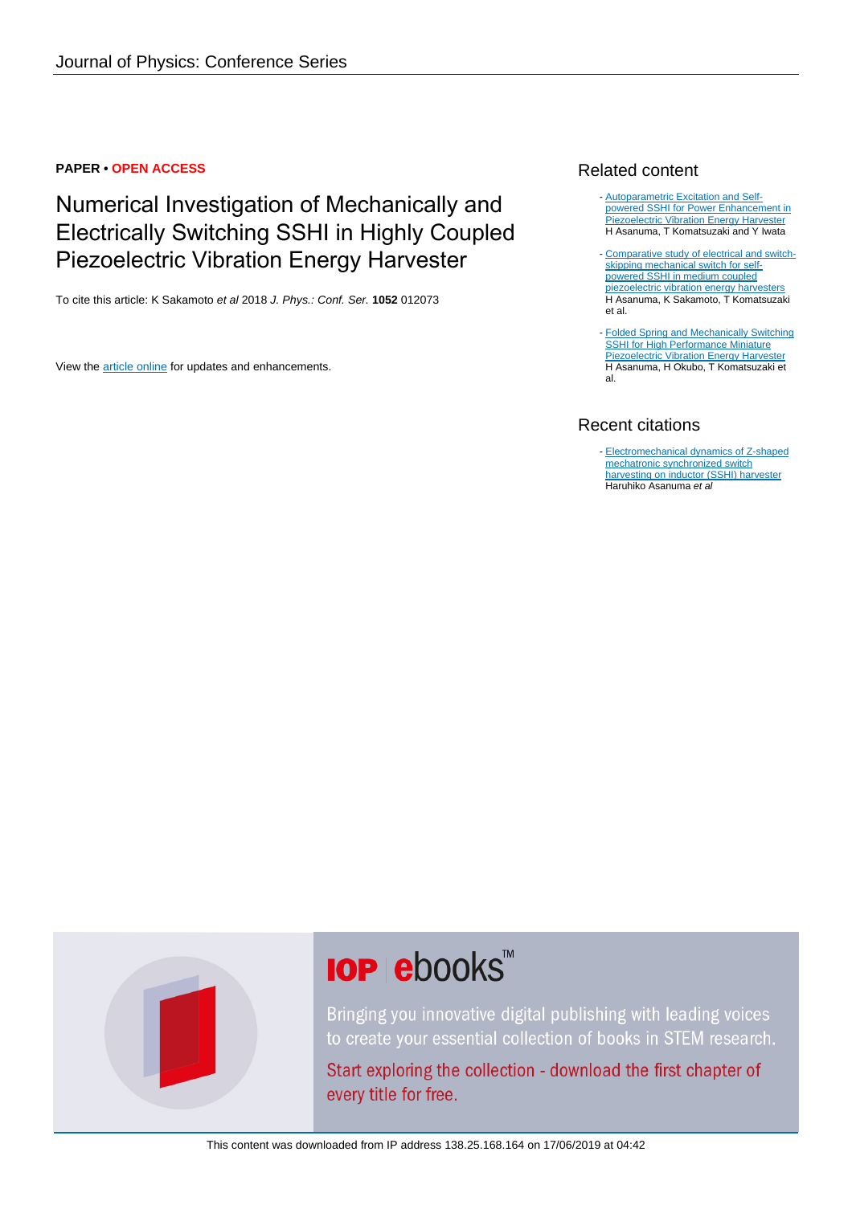# **PAPER • OPEN ACCESS**

# Numerical Investigation of Mechanically and Electrically Switching SSHI in Highly Coupled Piezoelectric Vibration Energy Harvester

To cite this article: K Sakamoto et al 2018 J. Phys.: Conf. Ser. **1052** 012073

View the [article online](https://doi.org/10.1088/1742-6596/1052/1/012073) for updates and enhancements.

# Related content

- [Autoparametric Excitation and Self](http://iopscience.iop.org/article/10.1088/1742-6596/1052/1/012072)[powered SSHI for Power Enhancement in](http://iopscience.iop.org/article/10.1088/1742-6596/1052/1/012072) [Piezoelectric Vibration Energy Harvester](http://iopscience.iop.org/article/10.1088/1742-6596/1052/1/012072) H Asanuma, T Komatsuzaki and Y Iwata
- [Comparative study of electrical and switch](http://iopscience.iop.org/article/10.1088/1361-665X/aac4cc)[skipping mechanical switch for self](http://iopscience.iop.org/article/10.1088/1361-665X/aac4cc)[powered SSHI in medium coupled](http://iopscience.iop.org/article/10.1088/1361-665X/aac4cc) [piezoelectric vibration energy harvesters](http://iopscience.iop.org/article/10.1088/1361-665X/aac4cc) H Asanuma, K Sakamoto, T Komatsuzaki et al.
- **[Folded Spring and Mechanically Switching](http://iopscience.iop.org/article/10.1088/1742-6596/773/1/012082)** [SSHI for High Performance Miniature](http://iopscience.iop.org/article/10.1088/1742-6596/773/1/012082) [Piezoelectric Vibration Energy Harvester](http://iopscience.iop.org/article/10.1088/1742-6596/773/1/012082) H Asanuma, H Okubo, T Komatsuzaki et al.

# Recent citations

- [Electromechanical dynamics of Z-shaped](http://iopscience.iop.org/1347-4065/58/6/064501) [mechatronic synchronized switch](http://iopscience.iop.org/1347-4065/58/6/064501) [harvesting on inductor \(SSHI\) harvester](http://iopscience.iop.org/1347-4065/58/6/064501) Haruhiko Asanuma et al

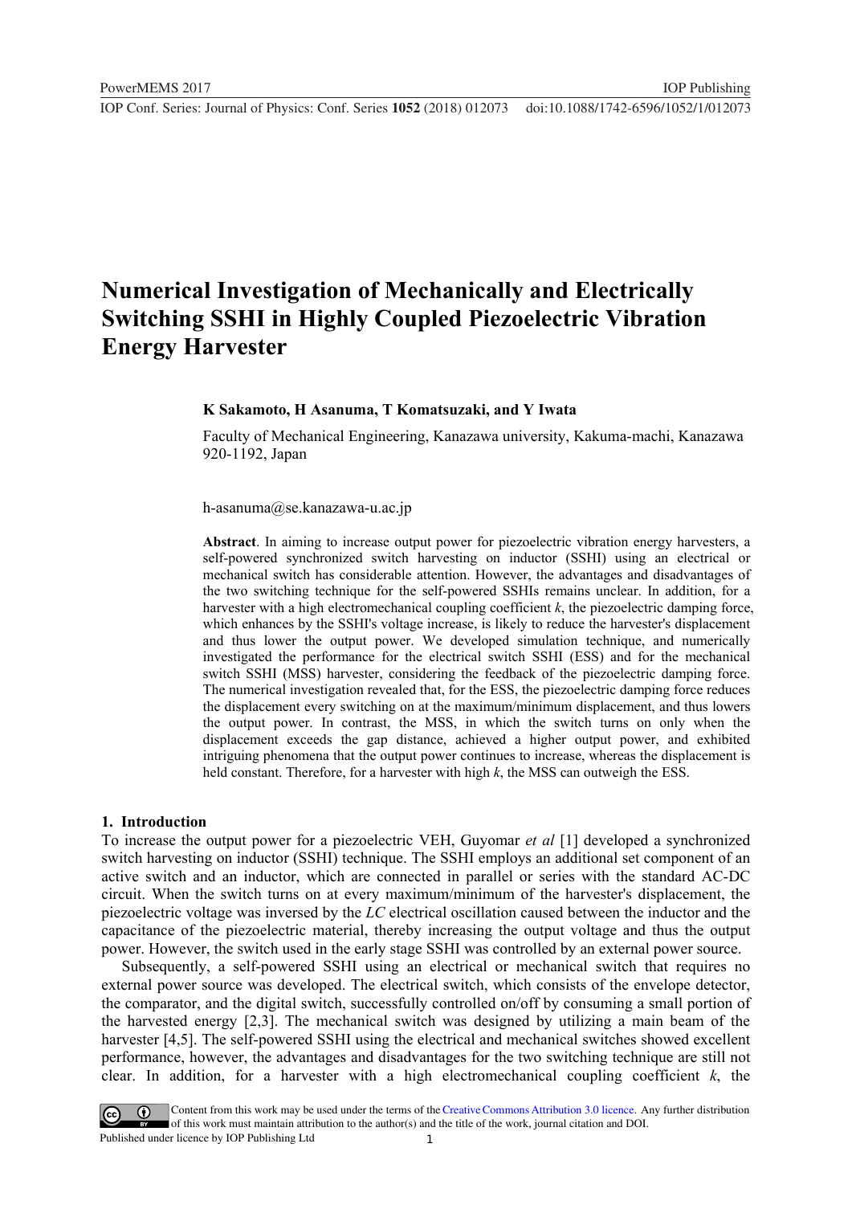**1234567890** ''"" IOP Conf. Series: Journal of Physics: Conf. Series **1052** (2018) 012073 doi :10.1088/1742-6596/1052/1/012073

# **Numerical Investigation of Mechanically and Electrically Switching SSHI in Highly Coupled Piezoelectric Vibration Energy Harvester**

## **K Sakamoto, H Asanuma, T Komatsuzaki, and Y Iwata**

Faculty of Mechanical Engineering, Kanazawa university, Kakuma-machi, Kanazawa 920-1192, Japan

h-asanuma@se.kanazawa-u.ac.jp

**Abstract**. In aiming to increase output power for piezoelectric vibration energy harvesters, a self-powered synchronized switch harvesting on inductor (SSHI) using an electrical or mechanical switch has considerable attention. However, the advantages and disadvantages of the two switching technique for the self-powered SSHIs remains unclear. In addition, for a harvester with a high electromechanical coupling coefficient *k*, the piezoelectric damping force, which enhances by the SSHI's voltage increase, is likely to reduce the harvester's displacement and thus lower the output power. We developed simulation technique, and numerically investigated the performance for the electrical switch SSHI (ESS) and for the mechanical switch SSHI (MSS) harvester, considering the feedback of the piezoelectric damping force. The numerical investigation revealed that, for the ESS, the piezoelectric damping force reduces the displacement every switching on at the maximum/minimum displacement, and thus lowers the output power. In contrast, the MSS, in which the switch turns on only when the displacement exceeds the gap distance, achieved a higher output power, and exhibited intriguing phenomena that the output power continues to increase, whereas the displacement is held constant. Therefore, for a harvester with high *k*, the MSS can outweigh the ESS.

#### **1. Introduction**

To increase the output power for a piezoelectric VEH, Guyomar *et al* [1] developed a synchronized switch harvesting on inductor (SSHI) technique. The SSHI employs an additional set component of an active switch and an inductor, which are connected in parallel or series with the standard AC-DC circuit. When the switch turns on at every maximum/minimum of the harvester's displacement, the piezoelectric voltage was inversed by the *LC* electrical oscillation caused between the inductor and the capacitance of the piezoelectric material, thereby increasing the output voltage and thus the output power. However, the switch used in the early stage SSHI was controlled by an external power source.

Subsequently, a self-powered SSHI using an electrical or mechanical switch that requires no external power source was developed. The electrical switch, which consists of the envelope detector, the comparator, and the digital switch, successfully controlled on/off by consuming a small portion of the harvested energy [2,3]. The mechanical switch was designed by utilizing a main beam of the harvester [4,5]. The self-powered SSHI using the electrical and mechanical switches showed excellent performance, however, the advantages and disadvantages for the two switching technique are still not clear. In addition, for a harvester with a high electromechanical coupling coefficient *k*, the

1 Content from this work may be used under the terms of the [Creative Commons Attribution 3.0 licence.](http://creativecommons.org/licenses/by/3.0) Any further distribution of this work must maintain attribution to the author(s) and the title of the work, journal citation and DOI. Published under licence by IOP Publishing Ltd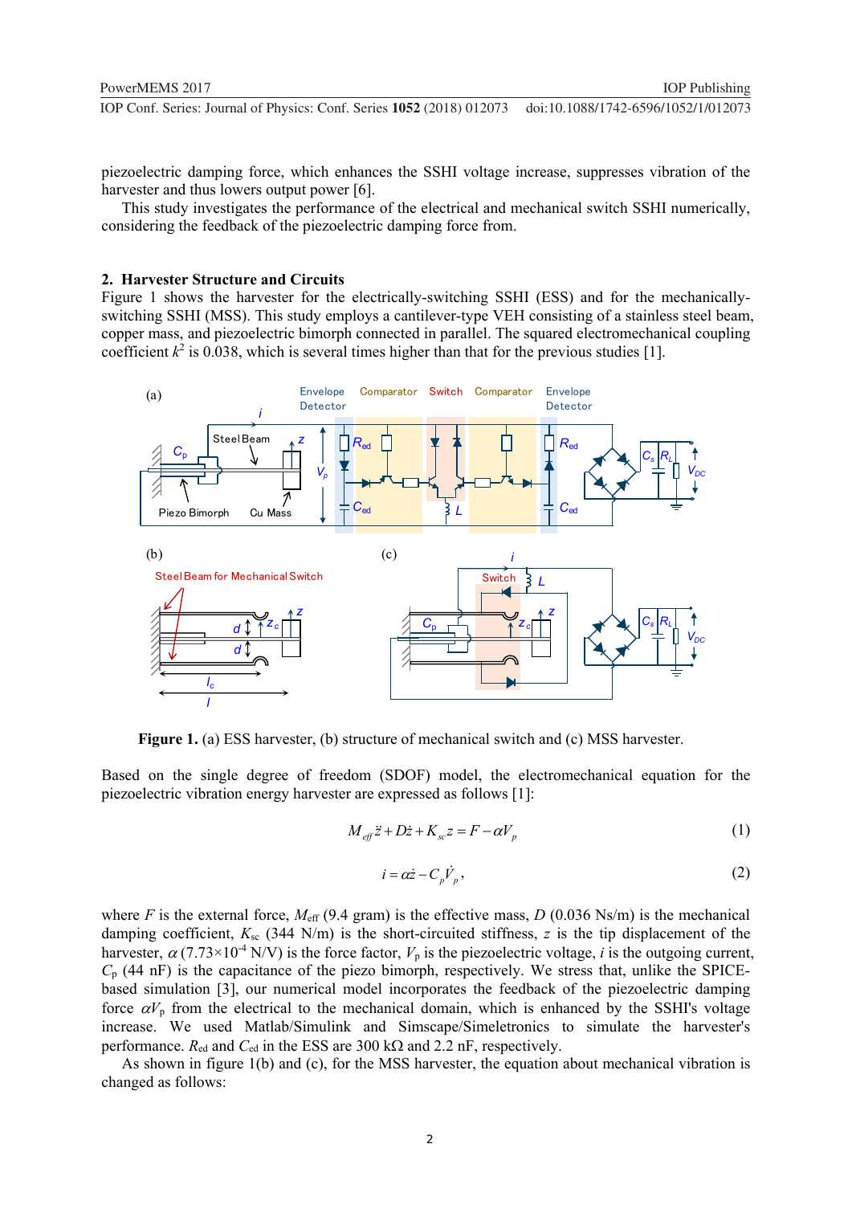piezoelectric damping force, which enhances the SSHI voltage increase, suppresses vibration of the harvester and thus lowers output power [6].

This study investigates the performance of the electrical and mechanical switch SSHI numerically, considering the feedback of the piezoelectric damping force from.

## **2. Harvester Structure and Circuits**

Figure 1 shows the harvester for the electrically-switching SSHI (ESS) and for the mechanicallyswitching SSHI (MSS). This study employs a cantilever-type VEH consisting of a stainless steel beam, copper mass, and piezoelectric bimorph connected in parallel. The squared electromechanical coupling coefficient  $k^2$  is 0.038, which is several times higher than that for the previous studies [1].



**Figure 1.** (a) ESS harvester, (b) structure of mechanical switch and (c) MSS harvester.

Based on the single degree of freedom (SDOF) model, the electromechanical equation for the piezoelectric vibration energy harvester are expressed as follows [1]:

$$
M_{\text{eff}}\ddot{z} + D\dot{z} + K_{\text{sc}}z = F - \alpha V_p \tag{1}
$$

$$
i = \alpha \dot{z} - C_p \dot{V}_p,\tag{2}
$$

where *F* is the external force,  $M_{\text{eff}}$  (9.4 gram) is the effective mass, *D* (0.036 Ns/m) is the mechanical damping coefficient,  $K_{sc}$  (344 N/m) is the short-circuited stiffness, *z* is the tip displacement of the harvester,  $\alpha$  (7.73×10<sup>-4</sup> N/V) is the force factor,  $V_p$  is the piezoelectric voltage, *i* is the outgoing current,  $C_p$  (44 nF) is the capacitance of the piezo bimorph, respectively. We stress that, unlike the SPICEbased simulation [3], our numerical model incorporates the feedback of the piezoelectric damping force  $\alpha V_p$  from the electrical to the mechanical domain, which is enhanced by the SSHI's voltage increase. We used Matlab/Simulink and Simscape/Simeletronics to simulate the harvester's performance.  $R_{\text{ed}}$  and  $C_{\text{ed}}$  in the ESS are 300 k $\Omega$  and 2.2 nF, respectively.

As shown in figure 1(b) and (c), for the MSS harvester, the equation about mechanical vibration is changed as follows: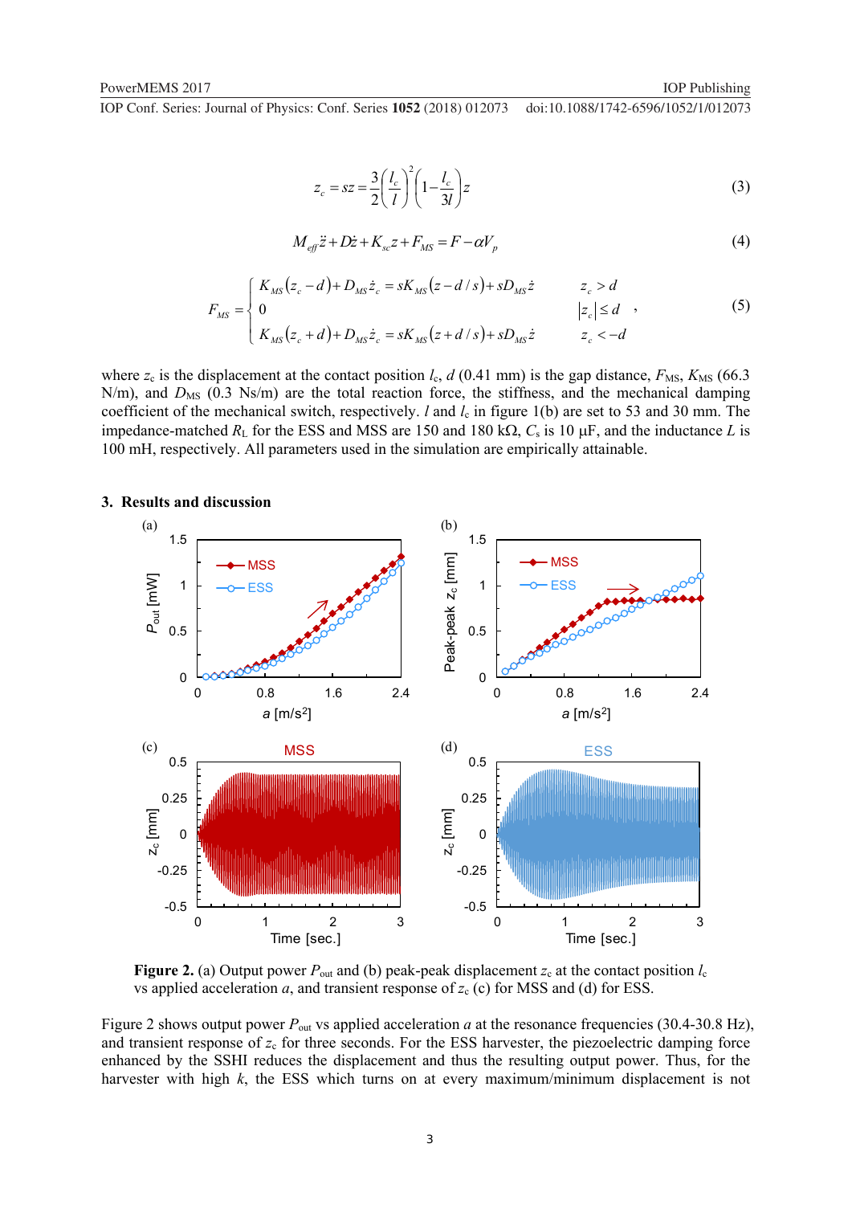**1234567890** ''"" IOP Conf. Series: Journal of Physics: Conf. Series **1052** (2018) 012073 doi :10.1088/1742-6596/1052/1/012073

$$
z_c = sz = \frac{3}{2} \left(\frac{l_c}{l}\right)^2 \left(1 - \frac{l_c}{3l}\right) z \tag{3}
$$

$$
M_{\text{eff}}\ddot{z} + D\dot{z} + K_{\text{sc}}z + F_{\text{MS}} = F - \alpha V_p \tag{4}
$$

$$
F_{MS} = \begin{cases} K_{MS}(z_c - d) + D_{MS}\dot{z}_c = sK_{MS}(z - d/s) + sD_{MS}\dot{z} & z_c > d \\ 0 & |z_c| \le d \\ K_{MS}(z_c + d) + D_{MS}\dot{z}_c = sK_{MS}(z + d/s) + sD_{MS}\dot{z} & z_c < -d \end{cases}
$$
(5)

where  $z_c$  is the displacement at the contact position  $l_c$ ,  $d$  (0.41 mm) is the gap distance,  $F_{\text{MS}}$ ,  $K_{\text{MS}}$  (66.3 N/m), and  $D_{MS}$  (0.3 Ns/m) are the total reaction force, the stiffness, and the mechanical damping coefficient of the mechanical switch, respectively. *l* and *l*<sub>c</sub> in figure 1(b) are set to 53 and 30 mm. The impedance-matched  $R_L$  for the ESS and MSS are 150 and 180 k $\Omega$ ,  $C_s$  is 10  $\mu$ F, and the inductance *L* is 100 mH, respectively. All parameters used in the simulation are empirically attainable.



# **3. Results and discussion**

**Figure 2.** (a) Output power  $P_{\text{out}}$  and (b) peak-peak displacement  $z_c$  at the contact position  $l_c$ vs applied acceleration *a*, and transient response of  $z_c$  (c) for MSS and (d) for ESS.

Figure 2 shows output power  $P_{\text{out}}$  vs applied acceleration *a* at the resonance frequencies (30.4-30.8 Hz), and transient response of  $z_c$  for three seconds. For the ESS harvester, the piezoelectric damping force enhanced by the SSHI reduces the displacement and thus the resulting output power. Thus, for the harvester with high *k*, the ESS which turns on at every maximum/minimum displacement is not